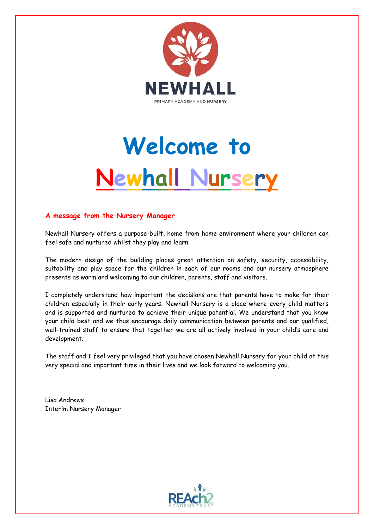

# **Welcome to Newhall Nursery**

## **A message from the Nursery Manager**

Newhall Nursery offers a purpose-built, home from home environment where your children can feel safe and nurtured whilst they play and learn.

The modern design of the building places great attention on safety, security, accessibility, suitability and play space for the children in each of our rooms and our nursery atmosphere presents as warm and welcoming to our children, parents, staff and visitors.

I completely understand how important the decisions are that parents have to make for their children especially in their early years. Newhall Nursery is a place where every child matters and is supported and nurtured to achieve their unique potential. We understand that you know your child best and we thus encourage daily communication between parents and our qualified, well-trained staff to ensure that together we are all actively involved in your child's care and development.

The staff and I feel very privileged that you have chosen Newhall Nursery for your child at this very special and important time in their lives and we look forward to welcoming you.

Lisa Andrews Interim Nursery Manager

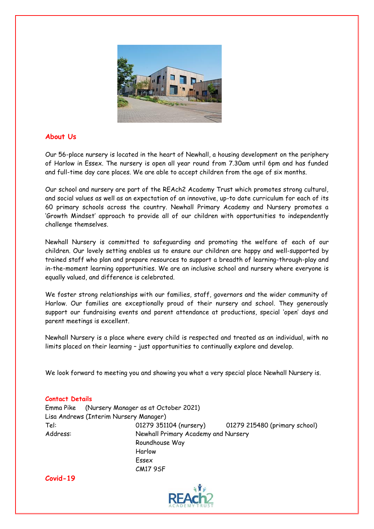

## **About Us**

Our 56-place nursery is located in the heart of Newhall, a housing development on the periphery of Harlow in Essex. The nursery is open all year round from 7.30am until 6pm and has funded and full-time day care places. We are able to accept children from the age of six months.

Our school and nursery are part of the REAch2 Academy Trust which promotes strong cultural, and social values as well as an expectation of an innovative, up-to date curriculum for each of its 60 primary schools across the country. Newhall Primary Academy and Nursery promotes a 'Growth Mindset' approach to provide all of our children with opportunities to independently challenge themselves.

Newhall Nursery is committed to safeguarding and promoting the welfare of each of our children. Our lovely setting enables us to ensure our children are happy and well-supported by trained staff who plan and prepare resources to support a breadth of learning-through-play and in-the-moment learning opportunities. We are an inclusive school and nursery where everyone is equally valued, and difference is celebrated.

We foster strong relationships with our families, staff, governors and the wider community of Harlow. Our families are exceptionally proud of their nursery and school. They generously support our fundraising events and parent attendance at productions, special 'open' days and parent meetings is excellent.

Newhall Nursery is a place where every child is respected and treated as an individual, with no limits placed on their learning – just opportunities to continually explore and develop.

We look forward to meeting you and showing you what a very special place Newhall Nursery is.

## **Contact Details**

|          | Emma Pike (Nursery Manager as at October 2021) |                                     |  |  |  |  |
|----------|------------------------------------------------|-------------------------------------|--|--|--|--|
|          | Lisa Andrews (Interim Nursery Manager)         |                                     |  |  |  |  |
| Tel:     | 01279 351104 (nursery)                         | 01279 215480 (primary school)       |  |  |  |  |
| Address: |                                                | Newhall Primary Academy and Nursery |  |  |  |  |
|          | Roundhouse Way                                 |                                     |  |  |  |  |
|          | Harlow                                         |                                     |  |  |  |  |
|          | Essex                                          |                                     |  |  |  |  |

CM17 9SF

**Covid-19**

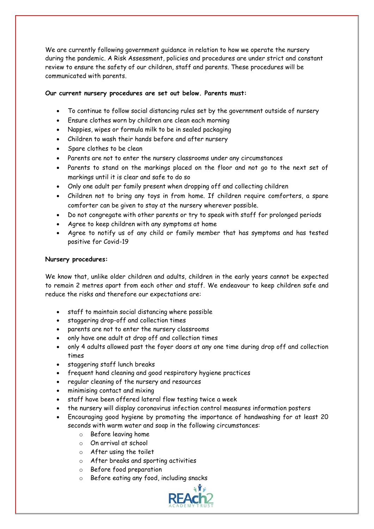We are currently following government guidance in relation to how we operate the nursery during the pandemic. A Risk Assessment, policies and procedures are under strict and constant review to ensure the safety of our children, staff and parents. These procedures will be communicated with parents.

## **Our current nursery procedures are set out below. Parents must:**

- To continue to follow social distancing rules set by the government outside of nursery
- Ensure clothes worn by children are clean each morning
- Nappies, wipes or formula milk to be in sealed packaging
- Children to wash their hands before and after nursery
- Spare clothes to be clean
- Parents are not to enter the nursery classrooms under any circumstances
- Parents to stand on the markings placed on the floor and not go to the next set of markings until it is clear and safe to do so
- Only one adult per family present when dropping off and collecting children
- Children not to bring any toys in from home. If children require comforters, a spare comforter can be given to stay at the nursery wherever possible.
- Do not congregate with other parents or try to speak with staff for prolonged periods
- Agree to keep children with any symptoms at home
- Agree to notify us of any child or family member that has symptoms and has tested positive for Covid-19

## **Nursery procedures:**

We know that, unlike older children and adults, children in the early years cannot be expected to remain 2 metres apart from each other and staff. We endeavour to keep children safe and reduce the risks and therefore our expectations are:

- staff to maintain social distancing where possible
- staggering drop-off and collection times
- parents are not to enter the nursery classrooms
- only have one adult at drop off and collection times
- only 4 adults allowed past the foyer doors at any one time during drop off and collection times
- staggering staff lunch breaks
- frequent hand cleaning and good respiratory hygiene practices
- regular cleaning of the nursery and resources
- minimising contact and mixing
- staff have been offered lateral flow testing twice a week
- the nursery will display coronavirus infection control measures information posters
- Encouraging good hygiene by promoting the importance of handwashing for at least 20 seconds with warm water and soap in the following circumstances:
	- o Before leaving home
	- o On arrival at school
	- o After using the toilet
	- o After breaks and sporting activities
	- o Before food preparation
	- o Before eating any food, including snacks

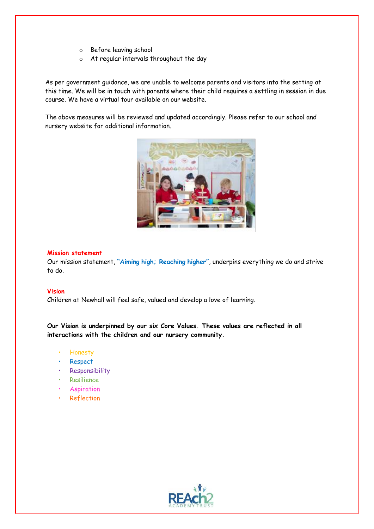- o Before leaving school
- o At regular intervals throughout the day

As per government guidance, we are unable to welcome parents and visitors into the setting at this time. We will be in touch with parents where their child requires a settling in session in due course. We have a virtual tour available on our website.

The above measures will be reviewed and updated accordingly. Please refer to our school and nursery website for additional information.



#### **Mission statement**

Our mission statement, **"Aiming high; Reaching higher"**, underpins everything we do and strive to do.

## **Vision**

Children at Newhall will feel safe, valued and develop a love of learning.

**Our Vision is underpinned by our six Core Values. These values are reflected in all interactions with the children and our nursery community.**

- Honesty
- Respect
- **Responsibility**
- Resilience
- **Aspiration**
- **Reflection**

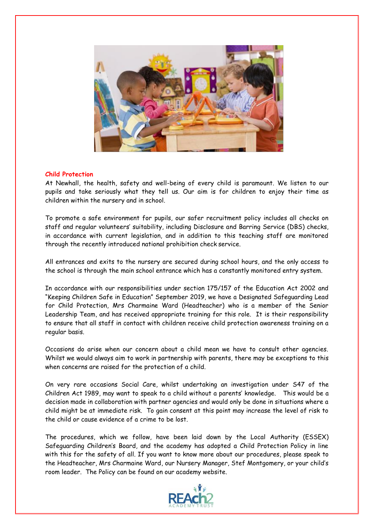

## **Child Protection**

At Newhall, the health, safety and well-being of every child is paramount. We listen to our pupils and take seriously what they tell us. Our aim is for children to enjoy their time as children within the nursery and in school.

To promote a safe environment for pupils, our safer recruitment policy includes all checks on staff and regular volunteers' suitability, including Disclosure and Barring Service (DBS) checks, in accordance with current legislation, and in addition to this teaching staff are monitored through the recently introduced national prohibition check service.

All entrances and exits to the nursery are secured during school hours, and the only access to the school is through the main school entrance which has a constantly monitored entry system.

In accordance with our responsibilities under section 175/157 of the Education Act 2002 and "Keeping Children Safe in Education" September 2019, we have a Designated Safeguarding Lead for Child Protection, Mrs Charmaine Ward (Headteacher) who is a member of the Senior Leadership Team, and has received appropriate training for this role. It is their responsibility to ensure that all staff in contact with children receive child protection awareness training on a regular basis.

Occasions do arise when our concern about a child mean we have to consult other agencies. Whilst we would always aim to work in partnership with parents, there may be exceptions to this when concerns are raised for the protection of a child.

On very rare occasions Social Care, whilst undertaking an investigation under S47 of the Children Act 1989, may want to speak to a child without a parents' knowledge. This would be a decision made in collaboration with partner agencies and would only be done in situations where a child might be at immediate risk. To gain consent at this point may increase the level of risk to the child or cause evidence of a crime to be lost.

The procedures, which we follow, have been laid down by the Local Authority (ESSEX) Safeguarding Children's Board, and the academy has adopted a Child Protection Policy in line with this for the safety of all. If you want to know more about our procedures, please speak to the Headteacher, Mrs Charmaine Ward, our Nursery Manager, Stef Montgomery, or your child's room leader. The Policy can be found on our academy website.

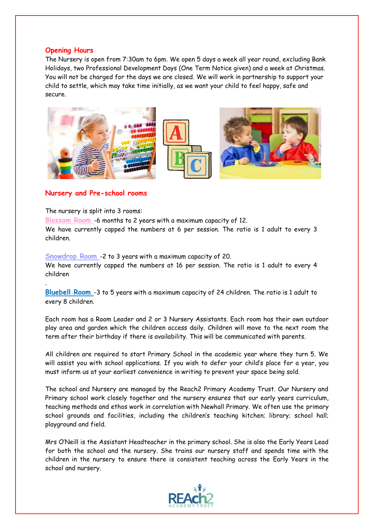## **Opening Hours**

The Nursery is open from 7:30am to 6pm. We open 5 days a week all year round, excluding Bank Holidays, two Professional Development Days (One Term Notice given) and a week at Christmas. You will not be charged for the days we are closed. We will work in partnership to support your child to settle, which may take time initially, as we want your child to feel happy, safe and secure.



## **Nursery and Pre-school rooms**

The nursery is split into 3 rooms:

.

**Blossom Room** -6 months to 2 years with a maximum capacity of 12.

We have currently capped the numbers at 6 per session. The ratio is 1 adult to every 3 children.

**Snowdrop Room** -2 to 3 years with a maximum capacity of 20. We have currently capped the numbers at 16 per session. The ratio is 1 adult to every 4 children

**Bluebell Room** -3 to 5 years with a maximum capacity of 24 children. The ratio is 1 adult to every 8 children.

Each room has a Room Leader and 2 or 3 Nursery Assistants. Each room has their own outdoor play area and garden which the children access daily. Children will move to the next room the term after their birthday if there is availability. This will be communicated with parents.

All children are required to start Primary School in the academic year where they turn 5. We will assist you with school applications. If you wish to defer your child's place for a year, you must inform us at your earliest convenience in writing to prevent your space being sold.

The school and Nursery are managed by the Reach2 Primary Academy Trust. Our Nursery and Primary school work closely together and the nursery ensures that our early years curriculum, teaching methods and ethos work in correlation with Newhall Primary. We often use the primary school grounds and facilities, including the children's teaching kitchen; library; school hall; playground and field.

Mrs O'Neill is the Assistant Headteacher in the primary school. She is also the Early Years Lead for both the school and the nursery. She trains our nursery staff and spends time with the children in the nursery to ensure there is consistent teaching across the Early Years in the school and nursery.

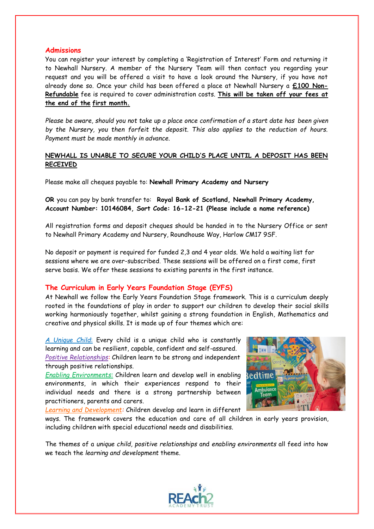## **Admissions**

You can register your interest by completing a 'Registration of Interest' Form and returning it to Newhall Nursery. A member of the Nursery Team will then contact you regarding your request and you will be offered a visit to have a look around the Nursery, if you have not already done so. Once your child has been offered a place at Newhall Nursery a **£100 Non-Refundable** fee is required to cover administration costs. **This will be taken off your fees at the end of the first month.**

*Please be aware, should you not take up a place once confirmation of a start date has been given by the Nursery, you then forfeit the deposit. This also applies to the reduction of hours. Payment must be made monthly in advance.*

## **NEWHALL IS UNABLE TO SECURE YOUR CHILD'S PLACE UNTIL A DEPOSIT HAS BEEN RECEIVED**

Please make all cheques payable to: **Newhall Primary Academy and Nursery**

**OR** you can pay by bank transfer to: **Royal Bank of Scotland, Newhall Primary Academy, Account Number: 10146084, Sort Code: 16-12-21 (Please include a name reference)**

All registration forms and deposit cheques should be handed in to the Nursery Office or sent to Newhall Primary Academy and Nursery, Roundhouse Way, Harlow CM17 9SF.

No deposit or payment is required for funded 2,3 and 4 year olds. We hold a waiting list for sessions where we are over-subscribed. These sessions will be offered on a first come, first serve basis. We offer these sessions to existing parents in the first instance.

## **The Curriculum in Early Years Foundation Stage (EYFS)**

At Newhall we follow the Early Years Foundation Stage framework. This is a curriculum deeply rooted in the foundations of play in order to support our children to develop their social skills working harmoniously together, whilst gaining a strong foundation in English, Mathematics and creative and physical skills. It is made up of four themes which are:

*A Unique Child*: Every child is a unique child who is constantly learning and can be resilient, capable, confident and self-assured. *Positive Relationships:* Children learn to be strong and independent through positive relationships.

*Enabling Environments:* Children learn and develop well in enabling environments, in which their experiences respond to their individual needs and there is a strong partnership between practitioners, parents and carers.

*Learning and Development:* Children develop and learn in different



ways. The framework covers the education and care of all children in early years provision, including children with special educational needs and disabilities.

The themes of a *unique child, positive relationships* and *enabling environments* all feed into how we teach the *learning and development* theme.

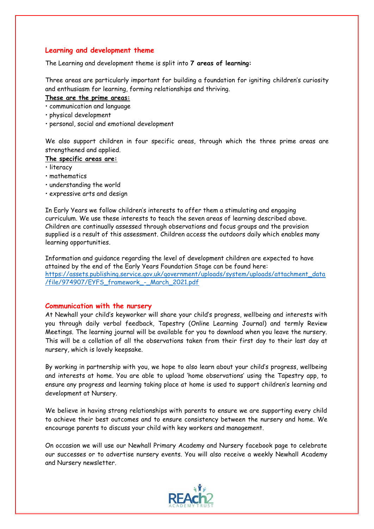## **Learning and development theme**

The Learning and development theme is split into **7 areas of learning:**

Three areas are particularly important for building a foundation for igniting children's curiosity and enthusiasm for learning, forming relationships and thriving.

#### **These are the prime areas:**

• communication and language

- physical development
- personal, social and emotional development

We also support children in four specific areas, through which the three prime areas are strengthened and applied.

#### **The specific areas are:**

- literacy
- mathematics
- understanding the world
- expressive arts and design

In Early Years we follow children's interests to offer them a stimulating and engaging curriculum. We use these interests to teach the seven areas of learning described above. Children are continually assessed through observations and focus groups and the provision supplied is a result of this assessment. Children access the outdoors daily which enables many learning opportunities.

Information and guidance regarding the level of development children are expected to have attained by the end of the Early Years Foundation Stage can be found here: [https://assets.publishing.service.gov.uk/government/uploads/system/uploads/attachment\\_data](https://assets.publishing.service.gov.uk/government/uploads/system/uploads/attachment_data/file/974907/EYFS_framework_-_March_2021.pdf) [/file/974907/EYFS\\_framework\\_-\\_March\\_2021.pdf](https://assets.publishing.service.gov.uk/government/uploads/system/uploads/attachment_data/file/974907/EYFS_framework_-_March_2021.pdf)

## **Communication with the nursery**

At Newhall your child's keyworker will share your child's progress, wellbeing and interests with you through daily verbal feedback, Tapestry (Online Learning Journal) and termly Review Meetings. The learning journal will be available for you to download when you leave the nursery. This will be a collation of all the observations taken from their first day to their last day at nursery, which is lovely keepsake.

By working in partnership with you, we hope to also learn about your child's progress, wellbeing and interests at home. You are able to upload 'home observations' using the Tapestry app, to ensure any progress and learning taking place at home is used to support children's learning and development at Nursery.

We believe in having strong relationships with parents to ensure we are supporting every child to achieve their best outcomes and to ensure consistency between the nursery and home. We encourage parents to discuss your child with key workers and management.

On occasion we will use our Newhall Primary Academy and Nursery facebook page to celebrate our successes or to advertise nursery events. You will also receive a weekly Newhall Academy and Nursery newsletter.

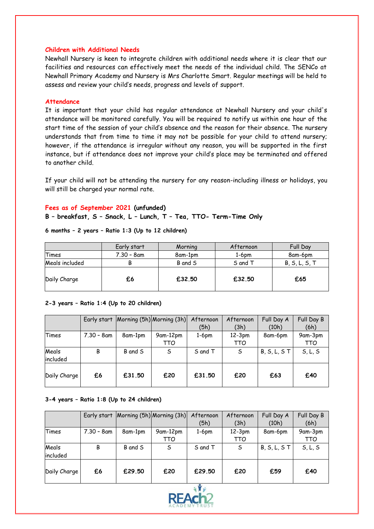#### **Children with Additional Needs**

Newhall Nursery is keen to integrate children with additional needs where it is clear that our facilities and resources can effectively meet the needs of the individual child. The SENCo at Newhall Primary Academy and Nursery is Mrs Charlotte Smart. Regular meetings will be held to assess and review your child's needs, progress and levels of support.

#### **Attendance**

It is important that your child has regular attendance at Newhall Nursery and your child's attendance will be monitored carefully. You will be required to notify us within one hour of the start time of the session of your child's absence and the reason for their absence. The nursery understands that from time to time it may not be possible for your child to attend nursery; however, if the attendance is irregular without any reason, you will be supported in the first instance, but if attendance does not improve your child's place may be terminated and offered to another child.

If your child will not be attending the nursery for any reason-including illness or holidays, you will still be charged your normal rate.

#### **Fees as of September 2021 (unfunded)**

**B – breakfast, S – Snack, L – Lunch, T – Tea, TTO- Term-Time Only** 

|                | Early start | Morning | Afternoon | Full Day      |
|----------------|-------------|---------|-----------|---------------|
| Times          | 7.30 – 8am  | 8am-1pm | $1-6dm$   | 8am-6pm       |
| Meals included | В           | B and S | S and T   | B, S, L, S, T |
| Daily Charge   | £6          | £32.50  | £32.50    | £65           |

## **6 months – 2 years – Ratio 1:3 (Up to 12 children)**

#### **2-3 years – Ratio 1:4 (Up to 20 children)**

|              | Early start   |         | Morning (5h) Morning (3h) | Afternoon | Afternoon | Full Day A     | Full Day B |
|--------------|---------------|---------|---------------------------|-----------|-----------|----------------|------------|
|              |               |         |                           | (5h)      | (3h)      | (10h)          | (6h)       |
| Times        | $7.30 - 8$ am | 8am-1pm | 9am-12pm                  | $1-6pm$   | $12-3pm$  | 8am-6pm        | 9am-3pm    |
|              |               |         | TTO                       |           | TTO       |                | TTO        |
| Meals        | B             | B and S | S                         | S and T   | S         | $B, S, L, S$ T | S, L, S    |
| included     |               |         |                           |           |           |                |            |
|              |               |         |                           |           |           |                |            |
| Daily Charge | £6            | £31.50  | £20                       | £31.50    | £20       | £63            | £40        |
|              |               |         |                           |           |           |                |            |

#### **3-4 years – Ratio 1:8 (Up to 24 children)**

|              | Early start   |         | Morning (5h) Morning (3h) | Afternoon | Afternoon | Full Day A     | Full Day B |
|--------------|---------------|---------|---------------------------|-----------|-----------|----------------|------------|
|              |               |         |                           | (5h)      | (3h)      | (10h)          | (6h)       |
| Times        | $7.30 - 8$ am | 8am-1pm | 9am-12pm                  | $1-6pm$   | $12-3pm$  | 8am-6pm        | 9am-3pm    |
|              |               |         | TTO                       |           | TTO       |                | TTO        |
| Meals        | В             | B and S | S                         | S and T   | S         | $B, S, L, S$ T | S, L, S    |
| included     |               |         |                           |           |           |                |            |
|              |               |         |                           |           |           |                |            |
| Daily Charge | £6            | £29.50  | £20                       | £29.50    | £20       | £59            | £40        |
|              |               |         |                           |           |           |                |            |

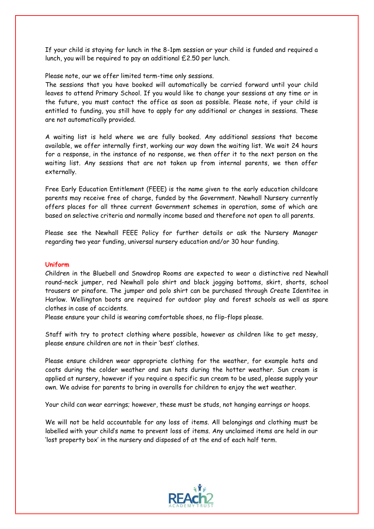If your child is staying for lunch in the 8-1pm session or your child is funded and required a lunch, you will be required to pay an additional £2.50 per lunch.

Please note, our we offer limited term-time only sessions.

The sessions that you have booked will automatically be carried forward until your child leaves to attend Primary School. If you would like to change your sessions at any time or in the future, you must contact the office as soon as possible. Please note, if your child is entitled to funding, you still have to apply for any additional or changes in sessions. These are not automatically provided.

A waiting list is held where we are fully booked. Any additional sessions that become available, we offer internally first, working our way down the waiting list. We wait 24 hours for a response, in the instance of no response, we then offer it to the next person on the waiting list. Any sessions that are not taken up from internal parents, we then offer externally.

Free Early Education Entitlement (FEEE) is the name given to the early education childcare parents may receive free of charge, funded by the Government. Newhall Nursery currently offers places for all three current Government schemes in operation, some of which are based on selective criteria and normally income based and therefore not open to all parents.

Please see the Newhall FEEE Policy for further details or ask the Nursery Manager regarding two year funding, universal nursery education and/or 30 hour funding.

## **Uniform**

Children in the Bluebell and Snowdrop Rooms are expected to wear a distinctive red Newhall round-neck jumper, red Newhall polo shirt and black jogging bottoms, skirt, shorts, school trousers or pinafore. The jumper and polo shirt can be purchased through Create Identitee in Harlow. Wellington boots are required for outdoor play and forest schools as well as spare clothes in case of accidents.

Please ensure your child is wearing comfortable shoes, no flip-flops please.

Staff with try to protect clothing where possible, however as children like to get messy, please ensure children are not in their 'best' clothes.

Please ensure children wear appropriate clothing for the weather, for example hats and coats during the colder weather and sun hats during the hotter weather. Sun cream is applied at nursery, however if you require a specific sun cream to be used, please supply your own. We advise for parents to bring in overalls for children to enjoy the wet weather.

Your child can wear earrings; however, these must be studs, not hanging earrings or hoops.

We will not be held accountable for any loss of items. All belongings and clothing must be labelled with your child's name to prevent loss of items. Any unclaimed items are held in our 'lost property box' in the nursery and disposed of at the end of each half term.

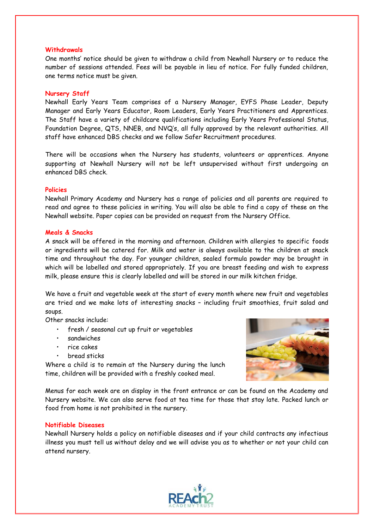#### **Withdrawals**

One months' notice should be given to withdraw a child from Newhall Nursery or to reduce the number of sessions attended. Fees will be payable in lieu of notice. For fully funded children, one terms notice must be given.

#### **Nursery Staff**

Newhall Early Years Team comprises of a Nursery Manager, EYFS Phase Leader, Deputy Manager and Early Years Educator, Room Leaders, Early Years Practitioners and Apprentices. The Staff have a variety of childcare qualifications including Early Years Professional Status, Foundation Degree, QTS, NNEB, and NVQ's, all fully approved by the relevant authorities. All staff have enhanced DBS checks and we follow Safer Recruitment procedures.

There will be occasions when the Nursery has students, volunteers or apprentices. Anyone supporting at Newhall Nursery will not be left unsupervised without first undergoing an enhanced DBS check.

#### **Policies**

Newhall Primary Academy and Nursery has a range of policies and all parents are required to read and agree to these policies in writing. You will also be able to find a copy of these on the Newhall website. Paper copies can be provided on request from the Nursery Office.

#### **Meals & Snacks**

A snack will be offered in the morning and afternoon. Children with allergies to specific foods or ingredients will be catered for. Milk and water is always available to the children at snack time and throughout the day. For younger children, sealed formula powder may be brought in which will be labelled and stored appropriately. If you are breast feeding and wish to express milk, please ensure this is clearly labelled and will be stored in our milk kitchen fridge.

We have a fruit and vegetable week at the start of every month where new fruit and vegetables are tried and we make lots of interesting snacks – including fruit smoothies, fruit salad and soups.

Other snacks include:

- fresh / seasonal cut up fruit or vegetables
- sandwiches
- rice cakes
- bread sticks

Where a child is to remain at the Nursery during the lunch time, children will be provided with a freshly cooked meal.



Menus for each week are on display in the front entrance or can be found on the Academy and Nursery website. We can also serve food at tea time for those that stay late. Packed lunch or food from home is not prohibited in the nursery.

#### **Notifiable Diseases**

Newhall Nursery holds a policy on notifiable diseases and if your child contracts any infectious illness you must tell us without delay and we will advise you as to whether or not your child can attend nursery.

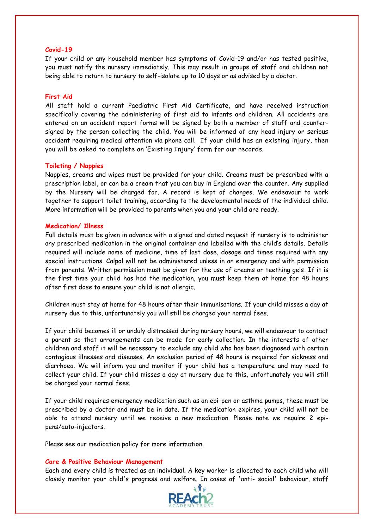#### **Covid-19**

If your child or any household member has symptoms of Covid-19 and/or has tested positive, you must notify the nursery immediately. This may result in groups of staff and children not being able to return to nursery to self-isolate up to 10 days or as advised by a doctor.

#### **First Aid**

All staff hold a current Paediatric First Aid Certificate, and have received instruction specifically covering the administering of first aid to infants and children. All accidents are entered on an accident report forms will be signed by both a member of staff and countersigned by the person collecting the child. You will be informed of any head injury or serious accident requiring medical attention via phone call. If your child has an existing injury, then you will be asked to complete an 'Existing Injury' form for our records.

#### **Toileting / Nappies**

Nappies, creams and wipes must be provided for your child. Creams must be prescribed with a prescription label, or can be a cream that you can buy in England over the counter. Any supplied by the Nursery will be charged for. A record is kept of changes. We endeavour to work together to support toilet training, according to the developmental needs of the individual child. More information will be provided to parents when you and your child are ready.

#### **Medication/ Illness**

Full details must be given in advance with a signed and dated request if nursery is to administer any prescribed medication in the original container and labelled with the child's details. Details required will include name of medicine, time of last dose, dosage and times required with any special instructions. Calpol will not be administered unless in an emergency and with permission from parents. Written permission must be given for the use of creams or teething gels. If it is the first time your child has had the medication, you must keep them at home for 48 hours after first dose to ensure your child is not allergic.

Children must stay at home for 48 hours after their immunisations. If your child misses a day at nursery due to this, unfortunately you will still be charged your normal fees.

If your child becomes ill or unduly distressed during nursery hours, we will endeavour to contact a parent so that arrangements can be made for early collection. In the interests of other children and staff it will be necessary to exclude any child who has been diagnosed with certain contagious illnesses and diseases. An exclusion period of 48 hours is required for sickness and diarrhoea. We will inform you and monitor if your child has a temperature and may need to collect your child. If your child misses a day at nursery due to this, unfortunately you will still be charged your normal fees.

If your child requires emergency medication such as an epi-pen or asthma pumps, these must be prescribed by a doctor and must be in date. If the medication expires, your child will not be able to attend nursery until we receive a new medication. Please note we require 2 epipens/auto-injectors.

Please see our medication policy for more information.

#### **Care & Positive Behaviour Management**

Each and every child is treated as an individual. A key worker is allocated to each child who will closely monitor your child's progress and welfare. In cases of 'anti- social' behaviour, staff

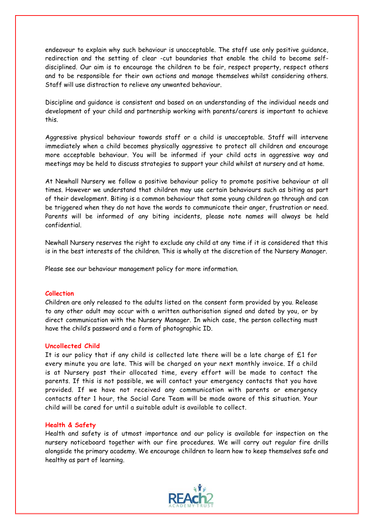endeavour to explain why such behaviour is unacceptable. The staff use only positive guidance, redirection and the setting of clear -cut boundaries that enable the child to become selfdisciplined. Our aim is to encourage the children to be fair, respect property, respect others and to be responsible for their own actions and manage themselves whilst considering others. Staff will use distraction to relieve any unwanted behaviour.

Discipline and guidance is consistent and based on an understanding of the individual needs and development of your child and partnership working with parents/carers is important to achieve this.

Aggressive physical behaviour towards staff or a child is unacceptable. Staff will intervene immediately when a child becomes physically aggressive to protect all children and encourage more acceptable behaviour. You will be informed if your child acts in aggressive way and meetings may be held to discuss strategies to support your child whilst at nursery and at home.

At Newhall Nursery we follow a positive behaviour policy to promote positive behaviour at all times. However we understand that children may use certain behaviours such as biting as part of their development. Biting is a common behaviour that some young children go through and can be triggered when they do not have the words to communicate their anger, frustration or need. Parents will be informed of any biting incidents, please note names will always be held confidential.

Newhall Nursery reserves the right to exclude any child at any time if it is considered that this is in the best interests of the children. This is wholly at the discretion of the Nursery Manager.

Please see our behaviour management policy for more information.

#### **Collection**

Children are only released to the adults listed on the consent form provided by you. Release to any other adult may occur with a written authorisation signed and dated by you, or by direct communication with the Nursery Manager. In which case, the person collecting must have the child's password and a form of photographic ID.

#### **Uncollected Child**

It is our policy that if any child is collected late there will be a late charge of £1 for every minute you are late. This will be charged on your next monthly invoice. If a child is at Nursery past their allocated time, every effort will be made to contact the parents. If this is not possible, we will contact your emergency contacts that you have provided. If we have not received any communication with parents or emergency contacts after 1 hour, the Social Care Team will be made aware of this situation. Your child will be cared for until a suitable adult is available to collect.

#### **Health & Safety**

Health and safety is of utmost importance and our policy is available for inspection on the nursery noticeboard together with our fire procedures. We will carry out regular fire drills alongside the primary academy. We encourage children to learn how to keep themselves safe and healthy as part of learning.